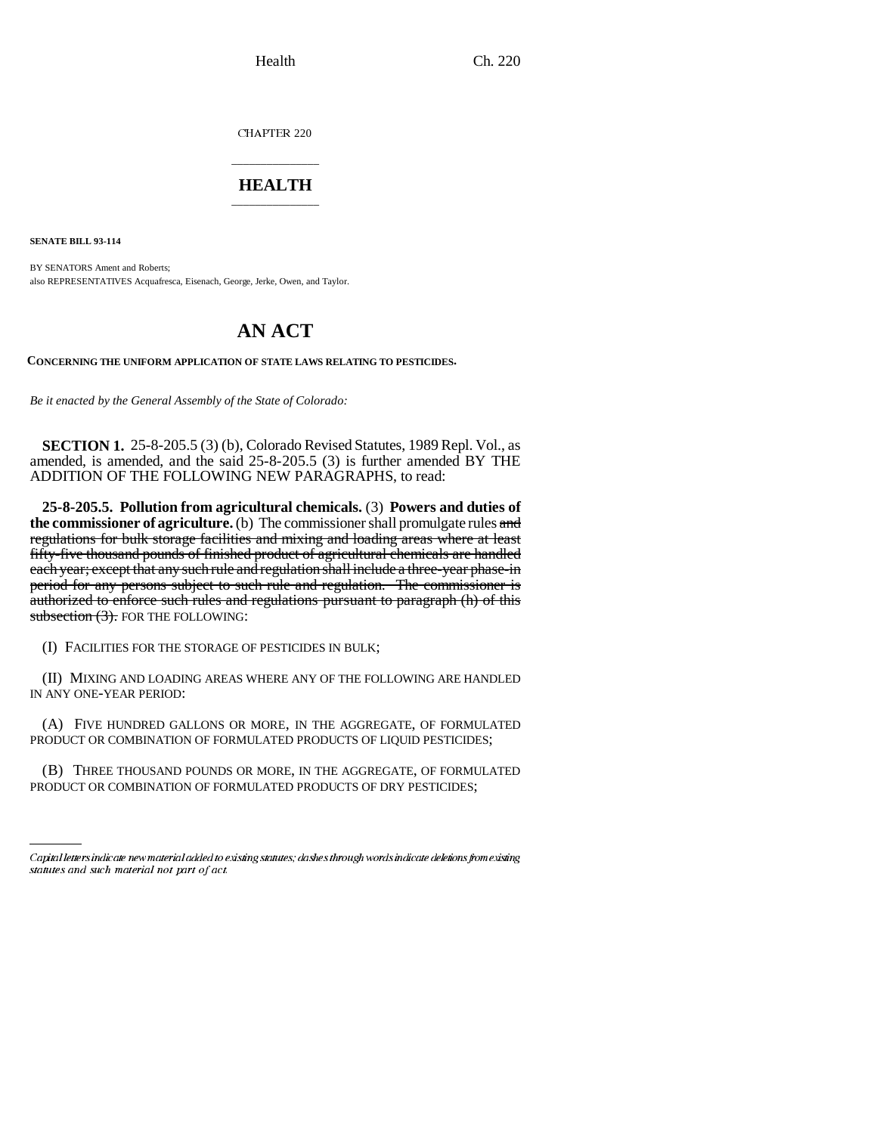CHAPTER 220

## \_\_\_\_\_\_\_\_\_\_\_\_\_\_\_ **HEALTH** \_\_\_\_\_\_\_\_\_\_\_\_\_\_\_

**SENATE BILL 93-114**

BY SENATORS Ament and Roberts; also REPRESENTATIVES Acquafresca, Eisenach, George, Jerke, Owen, and Taylor.

## **AN ACT**

**CONCERNING THE UNIFORM APPLICATION OF STATE LAWS RELATING TO PESTICIDES.**

*Be it enacted by the General Assembly of the State of Colorado:*

**SECTION 1.** 25-8-205.5 (3) (b), Colorado Revised Statutes, 1989 Repl. Vol., as amended, is amended, and the said 25-8-205.5 (3) is further amended BY THE ADDITION OF THE FOLLOWING NEW PARAGRAPHS, to read:

**25-8-205.5. Pollution from agricultural chemicals.** (3) **Powers and duties of the commissioner of agriculture.** (b) The commissioner shall promulgate rules and regulations for bulk storage facilities and mixing and loading areas where at least fifty-five thousand pounds of finished product of agricultural chemicals are handled each year; except that any such rule and regulation shall include a three-year phase-in period for any persons subject to such rule and regulation. The commissioner is authorized to enforce such rules and regulations pursuant to paragraph (h) of this subsection  $(3)$ . FOR THE FOLLOWING:

(I) FACILITIES FOR THE STORAGE OF PESTICIDES IN BULK;

(II) MIXING AND LOADING AREAS WHERE ANY OF THE FOLLOWING ARE HANDLED IN ANY ONE-YEAR PERIOD:

(A) FIVE HUNDRED GALLONS OR MORE, IN THE AGGREGATE, OF FORMULATED PRODUCT OR COMBINATION OF FORMULATED PRODUCTS OF LIQUID PESTICIDES;

(B) THREE THOUSAND POUNDS OR MORE, IN THE AGGREGATE, OF FORMULATED PRODUCT OR COMBINATION OF FORMULATED PRODUCTS OF DRY PESTICIDES;

Capital letters indicate new material added to existing statutes; dashes through words indicate deletions from existing statutes and such material not part of act.